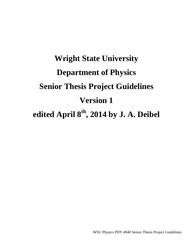# **Wright State University Department of Physics Senior Thesis Project Guidelines Version 1 edited April 8th, 2014 by J. A. Deibel**

WSU Physics PHY 4940 Senior Thesis Project Guidelines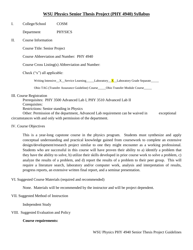## **WSU Physics Senior Thesis Project (PHY 4940) Syllabus**

## I. College/School COSM

Department PHYSICS

II. Course Information

Course Title: Senior Project

Course Abbreviation and Number: PHY 4940

Course Cross Listing(s) Abbreviation and Number:

Check ("x") all applicable:

Writing Intensive X Service Learning Laboratory  $\bar{X}$  Laboratory Grade Separate

Ohio TAG (Transfer Assurance Guideline) Course\_\_\_\_\_Ohio Transfer Module Course\_\_\_\_\_

#### III. Course Registration

Prerequisites: PHY 3500 Advanced Lab I, PHY 3510 Advanced Lab II

Corequisites:

Restrictions: Senior standing in Physics

Other: Permission of the department, Advanced Lab requirement can be waived in exceptional circumstances with and only with permission of the department.

IV. Course Objectives

This is a year-long capstone course in the physics program. Students must synthesize and apply conceptual understanding and practical knowledge gained from coursework to complete an extensive design/development/research project similar to one they might encounter as a working professional. Students who are successful in this course will have proven their ability to a) identify a problem that they have the ability to solve, b) utilize their skills developed in prior course work to solve a problem, c) analyze the results of a problem, and d) report the results of a problem to their peer group. This will require a literature search, laboratory and/or computer work, analysis and interpretation of results, progress reports, an extensive written final report, and a seminar presentation.

### VI. Suggested Course Materials (required and recommended)

None. Materials will be recommended by the instructor and will be project dependent.

#### VII. Suggested Method of Instruction

Independent Study

### VIII. Suggested Evaluation and Policy

### **Course requirements:**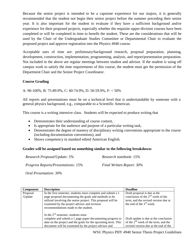Because the senior project is intended to be a capstone experience for our majors, it is generally recommended that the student not begin their senior project before the summer preceding their senior year. It is also important for the student to evaluate if they have a sufficient background and/or experience for their proposed projects, especially whether the requisite upper-division courses have been completed or will be completed in time to benefit the student. These are the considerations that will be used by the Chair of the Undergraduate Studies Committee or Departmental Chair to evaluate the proposed project and approve registration into the Physics 4940 course.

Acceptable uses of time are: preliminary/background research, proposal preparation, planning, development, construction, implementation, programming, analysis, and report/presentation preparation. Not included in the above are regular meetings between student and advisor. If the student is using off campus work to satisfy the time requirements of this course, the student must get the permission of the Department Chair and the Senior Project Coordinator.

## **Course Grading**

A: 90-100%, B: 75-89.9%, C: 60-74.9%, D: 50-59.9%, F: < 50%

All reports and presentations must be on a technical level that is understandable by someone with a general physics background, e.g., comparable to a Scientific American.

This course is a writing intensive class. Students will be expected to produce writing that

- Demonstrates their understanding of course content,
- Is appropriate for the audience and purpose of a particular writing task,
- Demonstrates the degree of mastery of disciplinary writing conventions appropriate to the course (including documentation conventions), and
- Shows competency in standard edited American English.

### **Grades will be assigned based on something similar to the following breakdown:**

| Research Proposal/Update: 5%               | Research notebook: 15%    |
|--------------------------------------------|---------------------------|
| <i>Progress Reports/Presentations: 15%</i> | Final Written Report: 30% |

*Oral Presentation: 30%*

| <b>Component</b> | <b>Description</b>                                            | <b>Deadline</b>                        |  |
|------------------|---------------------------------------------------------------|----------------------------------------|--|
| Proposal         | In the first semester, students must complete and submit a 1  | Draft proposal is due at the           |  |
| /Update          | page proposal documenting the goals and methods to be         | conclusion of the $2nd$ week of the    |  |
|                  | utilized involving the senior project. This proposal will be  | term, and the revised version due at   |  |
|                  | examined by the project advisor and revision                  | the end of the $3rd$ week.             |  |
|                  | recommendations made to the student.                          |                                        |  |
|                  |                                                               |                                        |  |
|                  | In the $2nd$ semester, students must                          |                                        |  |
|                  | complete and submit a 1 page paper documenting progress to    | Draft update is due at the conclusion  |  |
|                  | date on the project and the goals for the upcoming term. This | of the $2nd$ week of the term, and the |  |
|                  | document will be examined by the project advisor and          | revised version due at the end of the  |  |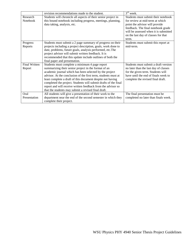|                      | revision recommendations made to the student.                   | $3rd$ week.                           |  |  |
|----------------------|-----------------------------------------------------------------|---------------------------------------|--|--|
| Research             | Students will chronicle all aspects of their senior project in  | Students must submit their notebook   |  |  |
| <b>Notebook</b>      | this bound notebook including progress, meetings, planning,     | for review at mid-term at which       |  |  |
|                      | data taking, analysis, etc.                                     | point the advisor will provide        |  |  |
|                      |                                                                 | feedback. The final notebook grade    |  |  |
|                      |                                                                 | will be assessed when it is submitted |  |  |
|                      |                                                                 | on the last day of classes for that   |  |  |
|                      |                                                                 | term.                                 |  |  |
| Progress             | Students must submit a 2 page summary of progress on their      | Students must submit this report at   |  |  |
| Reports              | projects including a project description, goals, work done to   | mid-term.                             |  |  |
|                      | date, problems, future goals, analysis performed, etc.The       |                                       |  |  |
|                      | project advisor will submit written feedback. It is             |                                       |  |  |
|                      | recommended that this update include outlines of both the       |                                       |  |  |
|                      | final paper and presentation.                                   |                                       |  |  |
| <b>Final Written</b> | Students must complete a minimum 4 page report                  | Students must submit a draft version  |  |  |
| Report               | summarizing their senior project in the format of an            | no later than the last day of classes |  |  |
|                      | academic journal which has been selected by the project         | for the given term. Students will     |  |  |
|                      | advisor. At the conclusion of the first term, students must at  | have until the end of finals week to  |  |  |
|                      | least complete a draft of this document despite not having      | complete the revised final draft.     |  |  |
|                      | completed the project. Students will submit drafts of the final |                                       |  |  |
|                      | report and will receive written feedback from the advisor so    |                                       |  |  |
|                      | that the students may submit a revised final draft.             |                                       |  |  |
| Oral                 | All students will give a presentation of their work to the      | The final presentation must be        |  |  |
| Presentation         | department near the end of the second semester in which they    | completed no later than finals week.  |  |  |
|                      | complete their project.                                         |                                       |  |  |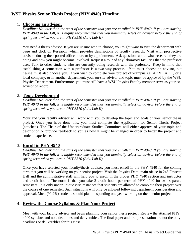## **WSU Physics Senior Thesis Project (PHY 4940) Timeline**

## 1. **Choosing an advisor.**

*Deadline: No later than the start of the semester that you are enrolled in PHY 4940. If you are starting PHY 4940 in the fall, it is highly recommended that you nominally select an advisor before the end of spring term when you are in PHY 3510 (Adv. Lab II).*

You need a thesis advisor. If you are unsure who to choose, you might want to visit the department web page and click on Research, which provides descriptions of faculty research. Visit with prospective advisors during their posted office hours or by appointment. Ask questions about what research they are doing and how you might become involved. Request a tour of any laboratory facilities that the professor uses. Talk to other students who are currently doing research with the professor. Keep in mind that establishing a connection with a professor is a two-way process: You must choose an advisor, but he/she must also choose you. If you wish to complete your project off-campus i.e. AFRL, AFIT, or a local company, or in another department, your on-site advisor and topic must be approved by the WSU Physics Department. Furthermore, you must still have a WSU Physics Faculty member serve as your coadvisor of record.

## 2. **Topic Development**

*Deadline: No later than the start of the semester that you are enrolled in PHY 4940. If you are starting PHY 4940 in the fall, it is highly recommended that you nominally select an advisor before the end of spring term when you are in PHY 3510 (Adv. Lab II).*

Your and your faculty advisor will work with you to develop the topic and goals of your senior thesis project. Once you have done this, you must complete the Application for Senior Thesis Project (attached). The Chair of the Undergraduate Studies Committee will either approve of your topic and description or provide feedback to you as how it might be changed in order to better the project and student experience.

## 3. **Enroll in PHY 4940**

*Deadline: No later than the start of the semester that you are enrolled in PHY 4940. If you are starting PHY 4940 in the fall, it is highly recommended that you nominally select an advisor before the end of spring term when you are in PHY 3510 (Adv. Lab II).*

Once you have selected your faculty/thesis advisor, you must enroll in the PHY 4940 for the coming term that you will be working on your senior project. Visit the Physics Dept. main office in 248 Fawcett Hall and the administrative staff will help you to enroll in the proper PHY 4940 section and instructor and credit hours. The norm is that you take 3 credit hours per term of PHY 4940 for two separate semesters. It is only under unique circumstances that students are allowed to complete their project over the course of one semester. Such situations will only be allowed following department consideration and approval. Most (99.9%) students should plan on spending one year working on their senior project.

# 4. **Review the Course Syllabus & Plan Your Project**

Meet with your faculty advisor and begin planning your senior thesis project. Review the attached PHY 4940 syllabus and note deadlines and deliverables. The final paper and oral presentation are not the only deadlines or deliverables for this class.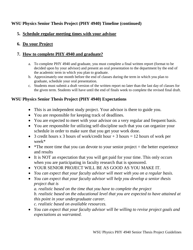# **WSU Physics Senior Thesis Project (PHY 4940) Timeline (continued)**

# **5. Schedule regular meeting times with your advisor**

# **6. Do your Project**

# **7. How to complete PHY 4940 and graduate?**

- a. To complete PHY 4940 and graduate, you must complete a final written report (format to be decided upon by your advisor) and present an oral presentation to the department by the end of the academic term in which you plan to graduate.
- b. Approximately one month before the end of classes during the term in which you plan to graduate, schedule your oral presentation.
- c. Students must submit a draft version of the written report no later than the last day of classes for the given term. Students will have until the end of finals week to complete the revised final draft.

# **WSU Physics Senior Thesis Project (PHY 4940) Expectations**

- This is an independent study project. Your advisor is there to guide you.
- You are responsible for keeping track of deadlines.
- You are expected to meet with your advisor on a very regular and frequent basis.
- You are responsible for utilizing self-discipline such that you can organize your schedule in order to make sure that you get your work done.
- 3 credit hours x 3 hours of work/credit hour  $+ 3$  hours = 12 hours of work per week\*
- \*The more time that you can devote to your senior project  $=$  the better experience and results
- It is NOT an expectation that you will get paid for your time. This only occurs when you are participating in faculty research that is sponsored.
- YOUR SENIOR PROJECT WILL BE AS GOOD AS YOU MAKE IT.
- *You can expect that your faculty advisor will meet with you on a regular basis.*
- *You can expect that your faculty advisor will help you develop a senior thesis project that is*

*a. realistic based on the time that you have to complete the project b. realistic based on the educational level that you are expected to have attained at this point in your undergraduate career.*

*c. realistic based on available resources.*

 *You can expect that your faculty advisor will be willing to revise project goals and expectations as warranted.*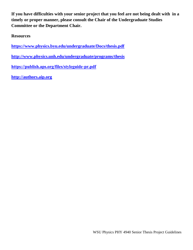**If you have difficulties with your senior project that you feel are not being dealt with in a timely or proper manner, please consult the Chair of the Undergraduate Studies Committee or the Department Chair.**

**Resources**

**<https://www.physics.byu.edu/undergraduate/Docs/thesis.pdf>**

**<http://www.physics.unh.edu/undergraduate/programs/thesis>**

https://publish.aps.org/files/styleguide-pr.pdf

**[http://authors.aip.org](http://authors.aip.org/)**